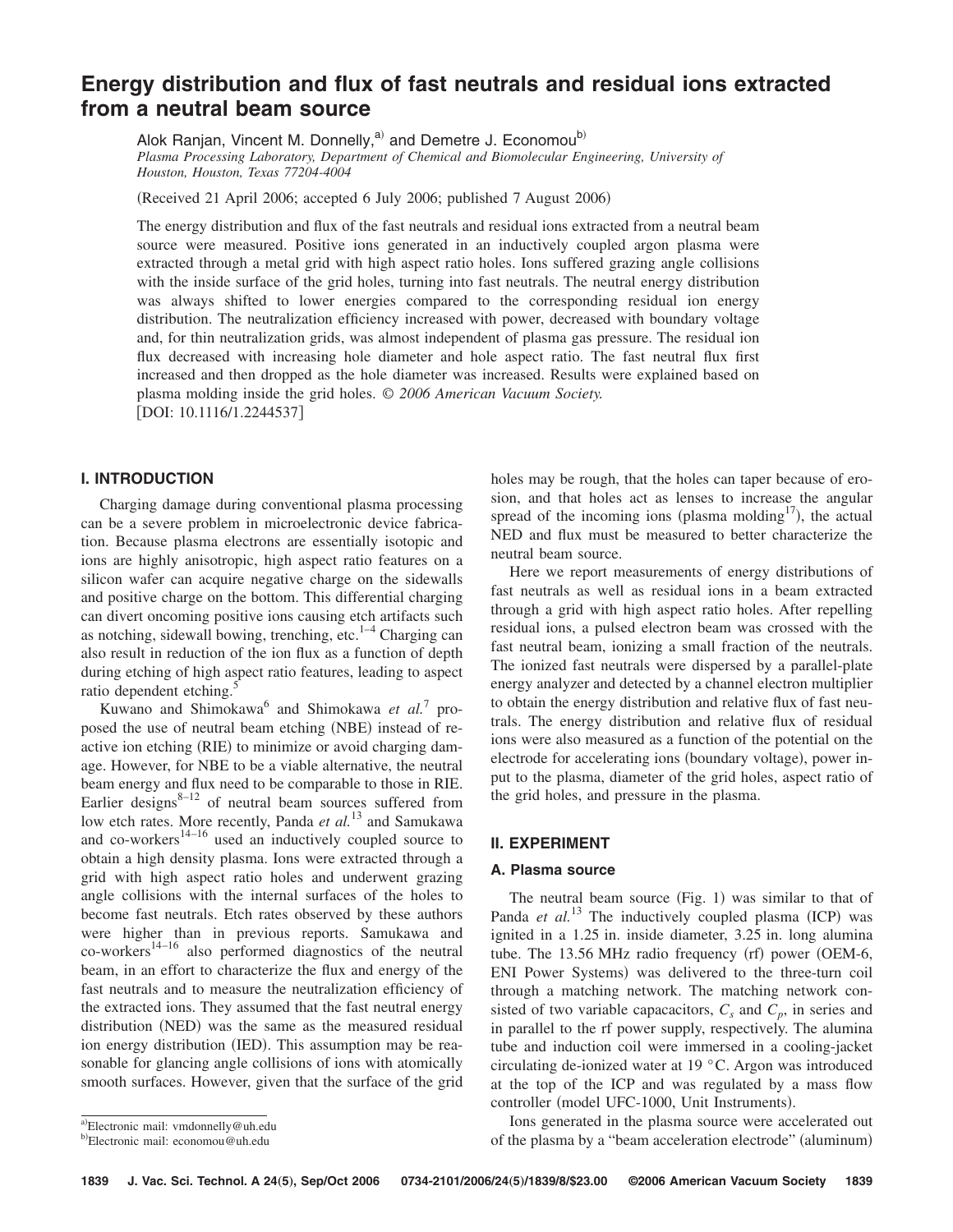# **Energy distribution and flux of fast neutrals and residual ions extracted from a neutral beam source**

Alok Ranjan, Vincent M. Donnelly,<sup>a)</sup> and Demetre J. Economou<sup>b)</sup> *Plasma Processing Laboratory, Department of Chemical and Biomolecular Engineering, University of Houston, Houston, Texas 77204-4004*

(Received 21 April 2006; accepted 6 July 2006; published 7 August 2006)

The energy distribution and flux of the fast neutrals and residual ions extracted from a neutral beam source were measured. Positive ions generated in an inductively coupled argon plasma were extracted through a metal grid with high aspect ratio holes. Ions suffered grazing angle collisions with the inside surface of the grid holes, turning into fast neutrals. The neutral energy distribution was always shifted to lower energies compared to the corresponding residual ion energy distribution. The neutralization efficiency increased with power, decreased with boundary voltage and, for thin neutralization grids, was almost independent of plasma gas pressure. The residual ion flux decreased with increasing hole diameter and hole aspect ratio. The fast neutral flux first increased and then dropped as the hole diameter was increased. Results were explained based on plasma molding inside the grid holes. *© 2006 American Vacuum Society.* [DOI: 10.1116/1.2244537]

# **I. INTRODUCTION**

Charging damage during conventional plasma processing can be a severe problem in microelectronic device fabrication. Because plasma electrons are essentially isotopic and ions are highly anisotropic, high aspect ratio features on a silicon wafer can acquire negative charge on the sidewalls and positive charge on the bottom. This differential charging can divert oncoming positive ions causing etch artifacts such as notching, sidewall bowing, trenching, etc. $1-4$  Charging can also result in reduction of the ion flux as a function of depth during etching of high aspect ratio features, leading to aspect ratio dependent etching.

Kuwano and Shimokawa<sup>6</sup> and Shimokawa et al.<sup>7</sup> proposed the use of neutral beam etching (NBE) instead of reactive ion etching (RIE) to minimize or avoid charging damage. However, for NBE to be a viable alternative, the neutral beam energy and flux need to be comparable to those in RIE. Earlier designs $8-12$  of neutral beam sources suffered from low etch rates. More recently, Panda *et al.*<sup>13</sup> and Samukawa and co-workers $14-16$  used an inductively coupled source to obtain a high density plasma. Ions were extracted through a grid with high aspect ratio holes and underwent grazing angle collisions with the internal surfaces of the holes to become fast neutrals. Etch rates observed by these authors were higher than in previous reports. Samukawa and co-workers14–16 also performed diagnostics of the neutral beam, in an effort to characterize the flux and energy of the fast neutrals and to measure the neutralization efficiency of the extracted ions. They assumed that the fast neutral energy distribution (NED) was the same as the measured residual ion energy distribution (IED). This assumption may be reasonable for glancing angle collisions of ions with atomically smooth surfaces. However, given that the surface of the grid

Here we report measurements of energy distributions of fast neutrals as well as residual ions in a beam extracted through a grid with high aspect ratio holes. After repelling residual ions, a pulsed electron beam was crossed with the fast neutral beam, ionizing a small fraction of the neutrals. The ionized fast neutrals were dispersed by a parallel-plate energy analyzer and detected by a channel electron multiplier to obtain the energy distribution and relative flux of fast neutrals. The energy distribution and relative flux of residual ions were also measured as a function of the potential on the electrode for accelerating ions (boundary voltage), power input to the plasma, diameter of the grid holes, aspect ratio of the grid holes, and pressure in the plasma.

### **II. EXPERIMENT**

# **A. Plasma source**

The neutral beam source (Fig. 1) was similar to that of Panda et al.<sup>13</sup> The inductively coupled plasma (ICP) was ignited in a 1.25 in. inside diameter, 3.25 in. long alumina tube. The 13.56 MHz radio frequency (rf) power (OEM-6, ENI Power Systems) was delivered to the three-turn coil through a matching network. The matching network consisted of two variable capacacitors,  $C_s$  and  $C_p$ , in series and in parallel to the rf power supply, respectively. The alumina tube and induction coil were immersed in a cooling-jacket circulating de-ionized water at 19 °C. Argon was introduced at the top of the ICP and was regulated by a mass flow controller (model UFC-1000, Unit Instruments).

Ions generated in the plasma source were accelerated out of the plasma by a "beam acceleration electrode" (aluminum)

holes may be rough, that the holes can taper because of erosion, and that holes act as lenses to increase the angular spread of the incoming ions (plasma molding $17$ ), the actual NED and flux must be measured to better characterize the neutral beam source.

a)Electronic mail: vmdonnelly@uh.edu

<sup>&</sup>lt;sup>b)</sup>Electronic mail: economou@uh.edu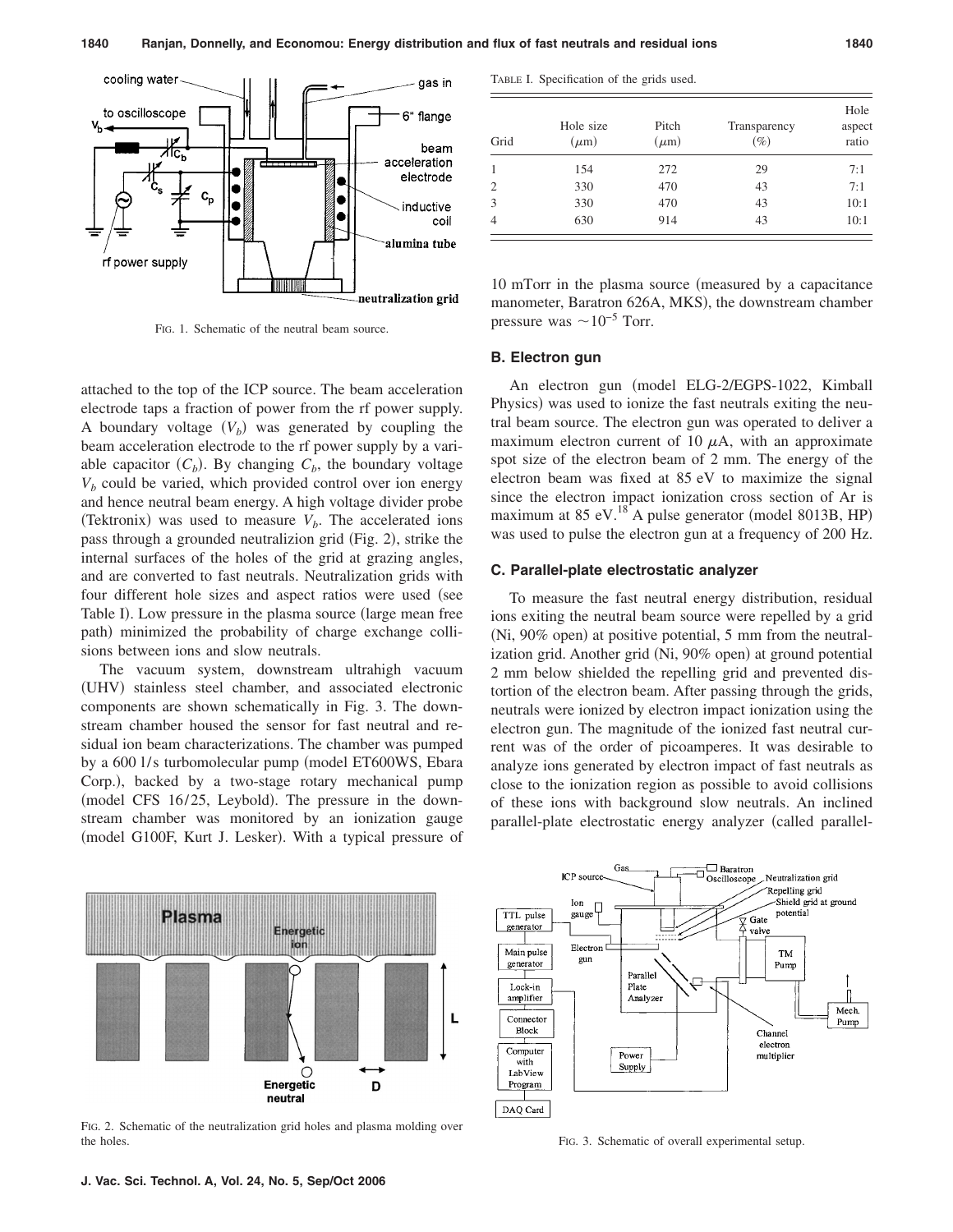

FIG. 1. Schematic of the neutral beam source.

attached to the top of the ICP source. The beam acceleration electrode taps a fraction of power from the rf power supply. A boundary voltage  $(V_b)$  was generated by coupling the beam acceleration electrode to the rf power supply by a variable capacitor  $(C_b)$ . By changing  $C_b$ , the boundary voltage  $V<sub>b</sub>$  could be varied, which provided control over ion energy and hence neutral beam energy. A high voltage divider probe (Tektronix) was used to measure  $V_b$ . The accelerated ions pass through a grounded neutralizion grid (Fig. 2), strike the internal surfaces of the holes of the grid at grazing angles, and are converted to fast neutrals. Neutralization grids with four different hole sizes and aspect ratios were used (see Table I). Low pressure in the plasma source (large mean free path) minimized the probability of charge exchange collisions between ions and slow neutrals.

The vacuum system, downstream ultrahigh vacuum (UHV) stainless steel chamber, and associated electronic components are shown schematically in Fig. 3. The downstream chamber housed the sensor for fast neutral and residual ion beam characterizations. The chamber was pumped by a 600 l/s turbomolecular pump (model ET600WS, Ebara Corp.), backed by a two-stage rotary mechanical pump (model CFS 16/25, Leybold). The pressure in the downstream chamber was monitored by an ionization gauge (model G100F, Kurt J. Lesker). With a typical pressure of

TABLE I. Specification of the grids used.

| Grid           | Hole size<br>$(\mu m)$ | Pitch<br>$(\mu m)$ | Transparency<br>$(\%)$ | Hole<br>aspect<br>ratio |
|----------------|------------------------|--------------------|------------------------|-------------------------|
|                | 154                    | 272                | 29                     | 7:1                     |
| $\mathfrak{D}$ | 330                    | 470                | 43                     | 7:1                     |
| 3              | 330                    | 470                | 43                     | 10:1                    |
| 4              | 630                    | 914                | 43                     | 10:1                    |

10 mTorr in the plasma source (measured by a capacitance manometer, Baratron 626A, MKS), the downstream chamber pressure was  $\sim 10^{-5}$  Torr.

# **B. Electron gun**

An electron gun (model ELG-2/EGPS-1022, Kimball Physics) was used to ionize the fast neutrals exiting the neutral beam source. The electron gun was operated to deliver a maximum electron current of 10  $\mu$ A, with an approximate spot size of the electron beam of 2 mm. The energy of the electron beam was fixed at 85 eV to maximize the signal since the electron impact ionization cross section of Ar is maximum at 85 eV. $^{18}$ A pulse generator (model 8013B, HP) was used to pulse the electron gun at a frequency of 200 Hz.

#### **C. Parallel-plate electrostatic analyzer**

To measure the fast neutral energy distribution, residual ions exiting the neutral beam source were repelled by a grid (Ni, 90% open) at positive potential, 5 mm from the neutralization grid. Another grid (Ni, 90% open) at ground potential 2 mm below shielded the repelling grid and prevented distortion of the electron beam. After passing through the grids, neutrals were ionized by electron impact ionization using the electron gun. The magnitude of the ionized fast neutral current was of the order of picoamperes. It was desirable to analyze ions generated by electron impact of fast neutrals as close to the ionization region as possible to avoid collisions of these ions with background slow neutrals. An inclined parallel-plate electrostatic energy analyzer (called parallel-



FIG. 2. Schematic of the neutralization grid holes and plasma molding over the holes. FIG. 3. Schematic of overall experimental setup.

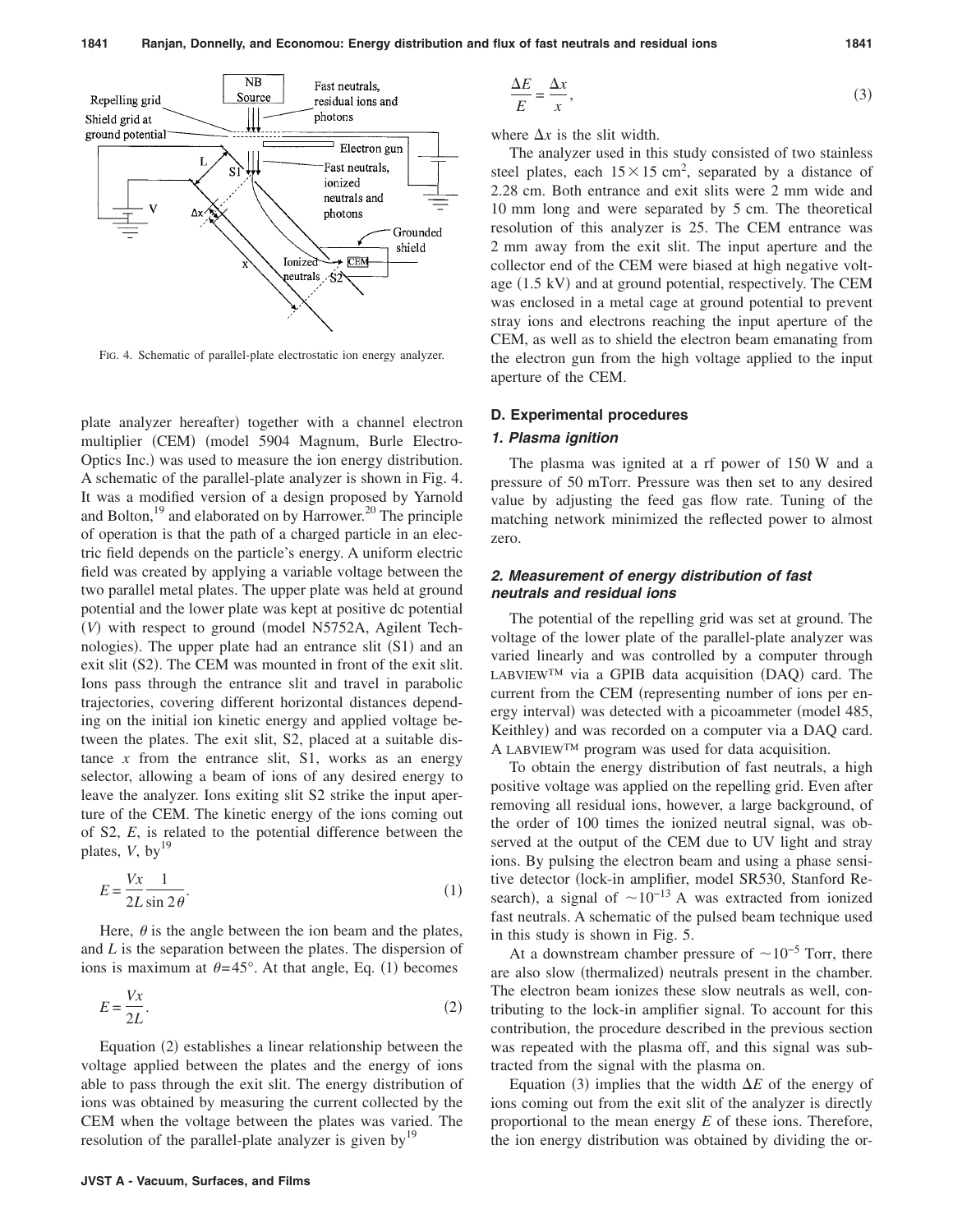

FIG. 4. Schematic of parallel-plate electrostatic ion energy analyzer.

plate analyzer hereafter) together with a channel electron multiplier (CEM) (model 5904 Magnum, Burle Electro-Optics Inc.) was used to measure the ion energy distribution. A schematic of the parallel-plate analyzer is shown in Fig. 4. It was a modified version of a design proposed by Yarnold and Bolton, $^{19}$  and elaborated on by Harrower.<sup>20</sup> The principle of operation is that the path of a charged particle in an electric field depends on the particle's energy. A uniform electric field was created by applying a variable voltage between the two parallel metal plates. The upper plate was held at ground potential and the lower plate was kept at positive dc potential (V) with respect to ground (model N5752A, Agilent Technologies). The upper plate had an entrance slit (S1) and an exit slit (S2). The CEM was mounted in front of the exit slit. Ions pass through the entrance slit and travel in parabolic trajectories, covering different horizontal distances depending on the initial ion kinetic energy and applied voltage between the plates. The exit slit, S2, placed at a suitable distance  $x$  from the entrance slit, S1, works as an energy selector, allowing a beam of ions of any desired energy to leave the analyzer. Ions exiting slit S2 strike the input aperture of the CEM. The kinetic energy of the ions coming out of S2, *E*, is related to the potential difference between the plates,  $V$ , by<sup>19</sup>

$$
E = \frac{Vx}{2L} \frac{1}{\sin 2\theta}.
$$
 (1)

Here,  $\theta$  is the angle between the ion beam and the plates, and *L* is the separation between the plates. The dispersion of ions is maximum at  $\theta = 45^\circ$ . At that angle, Eq. (1) becomes

$$
E = \frac{Vx}{2L}.\tag{2}
$$

Equation (2) establishes a linear relationship between the voltage applied between the plates and the energy of ions able to pass through the exit slit. The energy distribution of ions was obtained by measuring the current collected by the CEM when the voltage between the plates was varied. The resolution of the parallel-plate analyzer is given by<sup>19</sup>

$$
\frac{\Delta E}{E} = \frac{\Delta x}{x},\tag{3}
$$

where  $\Delta x$  is the slit width.

The analyzer used in this study consisted of two stainless steel plates, each  $15 \times 15$  cm<sup>2</sup>, separated by a distance of 2.28 cm. Both entrance and exit slits were 2 mm wide and 10 mm long and were separated by 5 cm. The theoretical resolution of this analyzer is 25. The CEM entrance was 2 mm away from the exit slit. The input aperture and the collector end of the CEM were biased at high negative voltage (1.5 kV) and at ground potential, respectively. The CEM was enclosed in a metal cage at ground potential to prevent stray ions and electrons reaching the input aperture of the CEM, as well as to shield the electron beam emanating from the electron gun from the high voltage applied to the input aperture of the CEM.

#### **D. Experimental procedures**

#### *1. Plasma ignition*

The plasma was ignited at a rf power of 150 W and a pressure of 50 mTorr. Pressure was then set to any desired value by adjusting the feed gas flow rate. Tuning of the matching network minimized the reflected power to almost zero.

# *2. Measurement of energy distribution of fast neutrals and residual ions*

The potential of the repelling grid was set at ground. The voltage of the lower plate of the parallel-plate analyzer was varied linearly and was controlled by a computer through LABVIEW™ via a GPIB data acquisition (DAQ) card. The current from the CEM (representing number of ions per energy interval) was detected with a picoammeter (model 485, Keithley) and was recorded on a computer via a DAQ card. A LABVIEW™ program was used for data acquisition.

To obtain the energy distribution of fast neutrals, a high positive voltage was applied on the repelling grid. Even after removing all residual ions, however, a large background, of the order of 100 times the ionized neutral signal, was observed at the output of the CEM due to UV light and stray ions. By pulsing the electron beam and using a phase sensitive detector (lock-in amplifier, model SR530, Stanford Research), a signal of  $\sim 10^{-13}$  A was extracted from ionized fast neutrals. A schematic of the pulsed beam technique used in this study is shown in Fig. 5.

At a downstream chamber pressure of  $\sim 10^{-5}$  Torr, there are also slow (thermalized) neutrals present in the chamber. The electron beam ionizes these slow neutrals as well, contributing to the lock-in amplifier signal. To account for this contribution, the procedure described in the previous section was repeated with the plasma off, and this signal was subtracted from the signal with the plasma on.

Equation (3) implies that the width  $\Delta E$  of the energy of ions coming out from the exit slit of the analyzer is directly proportional to the mean energy *E* of these ions. Therefore, the ion energy distribution was obtained by dividing the or-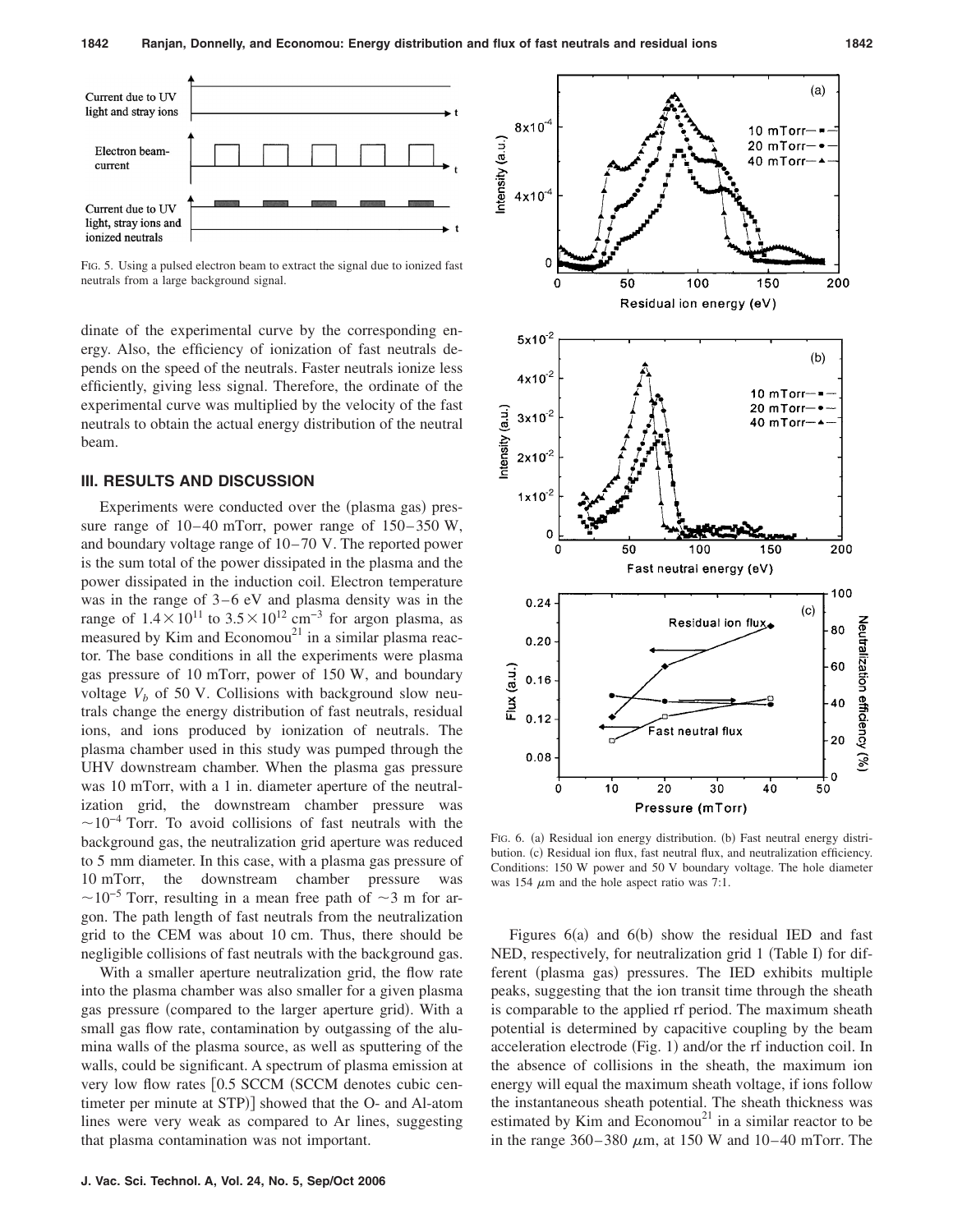

FIG. 5. Using a pulsed electron beam to extract the signal due to ionized fast neutrals from a large background signal.

dinate of the experimental curve by the corresponding energy. Also, the efficiency of ionization of fast neutrals depends on the speed of the neutrals. Faster neutrals ionize less efficiently, giving less signal. Therefore, the ordinate of the experimental curve was multiplied by the velocity of the fast neutrals to obtain the actual energy distribution of the neutral beam.

# **III. RESULTS AND DISCUSSION**

Experiments were conducted over the (plasma gas) pressure range of  $10-40$  mTorr, power range of  $150-350$  W, and boundary voltage range of 10– 70 V. The reported power is the sum total of the power dissipated in the plasma and the power dissipated in the induction coil. Electron temperature was in the range of  $3-6$  eV and plasma density was in the range of  $1.4 \times 10^{11}$  to  $3.5 \times 10^{12}$  cm<sup>-3</sup> for argon plasma, as measured by Kim and Economou<sup>21</sup> in a similar plasma reactor. The base conditions in all the experiments were plasma gas pressure of 10 mTorr, power of 150 W, and boundary voltage  $V_b$  of 50 V. Collisions with background slow neutrals change the energy distribution of fast neutrals, residual ions, and ions produced by ionization of neutrals. The plasma chamber used in this study was pumped through the UHV downstream chamber. When the plasma gas pressure was 10 mTorr, with a 1 in. diameter aperture of the neutralization grid, the downstream chamber pressure was  $\sim$ 10<sup>-4</sup> Torr. To avoid collisions of fast neutrals with the background gas, the neutralization grid aperture was reduced to 5 mm diameter. In this case, with a plasma gas pressure of 10 mTorr, the downstream chamber pressure was  $\sim$ 10<sup>-5</sup> Torr, resulting in a mean free path of  $\sim$ 3 m for argon. The path length of fast neutrals from the neutralization grid to the CEM was about 10 cm. Thus, there should be negligible collisions of fast neutrals with the background gas.

With a smaller aperture neutralization grid, the flow rate into the plasma chamber was also smaller for a given plasma gas pressure (compared to the larger aperture grid). With a small gas flow rate, contamination by outgassing of the alumina walls of the plasma source, as well as sputtering of the walls, could be significant. A spectrum of plasma emission at very low flow rates [0.5 SCCM (SCCM denotes cubic centimeter per minute at STP)] showed that the O- and Al-atom lines were very weak as compared to Ar lines, suggesting that plasma contamination was not important.



FIG. 6. (a) Residual ion energy distribution. (b) Fast neutral energy distribution. (c) Residual ion flux, fast neutral flux, and neutralization efficiency. Conditions: 150 W power and 50 V boundary voltage. The hole diameter was 154  $\mu$ m and the hole aspect ratio was 7:1.

Figures  $6(a)$  and  $6(b)$  show the residual IED and fast NED, respectively, for neutralization grid 1 (Table I) for different (plasma gas) pressures. The IED exhibits multiple peaks, suggesting that the ion transit time through the sheath is comparable to the applied rf period. The maximum sheath potential is determined by capacitive coupling by the beam acceleration electrode (Fig. 1) and/or the rf induction coil. In the absence of collisions in the sheath, the maximum ion energy will equal the maximum sheath voltage, if ions follow the instantaneous sheath potential. The sheath thickness was estimated by Kim and Economou<sup>21</sup> in a similar reactor to be in the range  $360-380 \mu m$ , at 150 W and 10–40 mTorr. The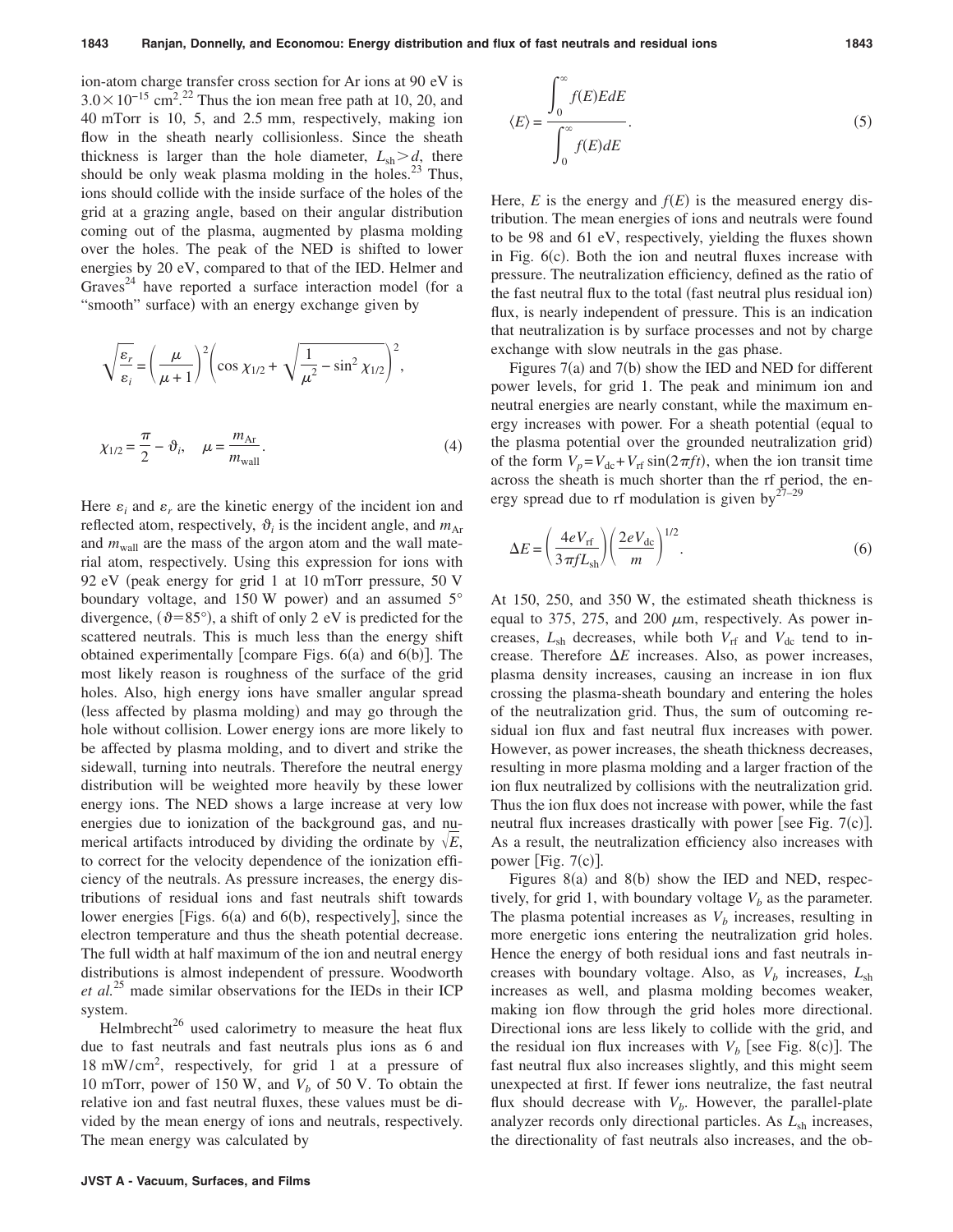ion-atom charge transfer cross section for Ar ions at 90 eV is  $3.0 \times 10^{-15}$  cm<sup>2</sup>.<sup>22</sup> Thus the ion mean free path at 10, 20, and 40 mTorr is 10, 5, and 2.5 mm, respectively, making ion flow in the sheath nearly collisionless. Since the sheath thickness is larger than the hole diameter,  $L_{sh} > d$ , there should be only weak plasma molding in the holes. $^{23}$  Thus, ions should collide with the inside surface of the holes of the grid at a grazing angle, based on their angular distribution coming out of the plasma, augmented by plasma molding over the holes. The peak of the NED is shifted to lower energies by 20 eV, compared to that of the IED. Helmer and Graves<sup>24</sup> have reported a surface interaction model (for a "smooth" surface) with an energy exchange given by

$$
\sqrt{\frac{\varepsilon_r}{\varepsilon_i}} = \left(\frac{\mu}{\mu + 1}\right)^2 \left(\cos \chi_{1/2} + \sqrt{\frac{1}{\mu^2} - \sin^2 \chi_{1/2}}\right)^2,
$$
  

$$
\chi_{1/2} = \frac{\pi}{2} - \vartheta_i, \quad \mu = \frac{m_{\text{Ar}}}{m_{\text{wall}}}.
$$
 (4)

*m*wall

Here  $\varepsilon_i$  and  $\varepsilon_r$  are the kinetic energy of the incident ion and reflected atom, respectively,  $\vartheta_i$  is the incident angle, and  $m_{\text{Ar}}$ and  $m_{\text{wall}}$  are the mass of the argon atom and the wall material atom, respectively. Using this expression for ions with 92 eV peak energy for grid 1 at 10 mTorr pressure, 50 V boundary voltage, and 150 W power) and an assumed  $5^\circ$ divergence,  $(\vartheta = 85^{\circ})$ , a shift of only 2 eV is predicted for the scattered neutrals. This is much less than the energy shift obtained experimentally [compare Figs. 6(a) and 6(b)]. The most likely reason is roughness of the surface of the grid holes. Also, high energy ions have smaller angular spread (less affected by plasma molding) and may go through the hole without collision. Lower energy ions are more likely to be affected by plasma molding, and to divert and strike the sidewall, turning into neutrals. Therefore the neutral energy distribution will be weighted more heavily by these lower energy ions. The NED shows a large increase at very low energies due to ionization of the background gas, and numerical artifacts introduced by dividing the ordinate by  $\sqrt{E}$ , to correct for the velocity dependence of the ionization efficiency of the neutrals. As pressure increases, the energy distributions of residual ions and fast neutrals shift towards lower energies [Figs. 6(a) and 6(b), respectively], since the electron temperature and thus the sheath potential decrease. The full width at half maximum of the ion and neutral energy distributions is almost independent of pressure. Woodworth *et al.*<sup>25</sup> made similar observations for the IEDs in their ICP system.

Helmbrecht<sup>26</sup> used calorimetry to measure the heat flux due to fast neutrals and fast neutrals plus ions as 6 and 18 mW/cm2 , respectively, for grid 1 at a pressure of 10 mTorr, power of 150 W, and  $V_b$  of 50 V. To obtain the relative ion and fast neutral fluxes, these values must be divided by the mean energy of ions and neutrals, respectively. The mean energy was calculated by

$$
\langle E \rangle = \frac{\int_0^\infty f(E)E dE}{\int_0^\infty f(E) dE}.
$$
\n(5)

Here,  $E$  is the energy and  $f(E)$  is the measured energy distribution. The mean energies of ions and neutrals were found to be 98 and 61 eV, respectively, yielding the fluxes shown in Fig. 6(c). Both the ion and neutral fluxes increase with pressure. The neutralization efficiency, defined as the ratio of the fast neutral flux to the total (fast neutral plus residual ion) flux, is nearly independent of pressure. This is an indication that neutralization is by surface processes and not by charge exchange with slow neutrals in the gas phase.

Figures  $7(a)$  and  $7(b)$  show the IED and NED for different power levels, for grid 1. The peak and minimum ion and neutral energies are nearly constant, while the maximum energy increases with power. For a sheath potential (equal to the plasma potential over the grounded neutralization grid) of the form  $V_p = V_{dc} + V_{rf} \sin(2\pi ft)$ , when the ion transit time across the sheath is much shorter than the rf period, the energy spread due to rf modulation is given by $27-29$ 

$$
\Delta E = \left(\frac{4eV_{\text{rf}}}{3\pi fL_{\text{sh}}}\right) \left(\frac{2eV_{\text{dc}}}{m}\right)^{1/2}.
$$
\n(6)

At 150, 250, and 350 W, the estimated sheath thickness is equal to 375, 275, and 200  $\mu$ m, respectively. As power increases,  $L_{sh}$  decreases, while both  $V_{rf}$  and  $V_{dc}$  tend to increase. Therefore  $\Delta E$  increases. Also, as power increases, plasma density increases, causing an increase in ion flux crossing the plasma-sheath boundary and entering the holes of the neutralization grid. Thus, the sum of outcoming residual ion flux and fast neutral flux increases with power. However, as power increases, the sheath thickness decreases, resulting in more plasma molding and a larger fraction of the ion flux neutralized by collisions with the neutralization grid. Thus the ion flux does not increase with power, while the fast neutral flux increases drastically with power [see Fig.  $7(c)$ ]. As a result, the neutralization efficiency also increases with power [Fig.  $7(c)$ ].

Figures  $8(a)$  and  $8(b)$  show the IED and NED, respectively, for grid 1, with boundary voltage  $V_b$  as the parameter. The plasma potential increases as  $V_b$  increases, resulting in more energetic ions entering the neutralization grid holes. Hence the energy of both residual ions and fast neutrals increases with boundary voltage. Also, as  $V_b$  increases,  $L_{sh}$ increases as well, and plasma molding becomes weaker, making ion flow through the grid holes more directional. Directional ions are less likely to collide with the grid, and the residual ion flux increases with  $V_b$  [see Fig. 8(c)]. The fast neutral flux also increases slightly, and this might seem unexpected at first. If fewer ions neutralize, the fast neutral flux should decrease with  $V<sub>b</sub>$ . However, the parallel-plate analyzer records only directional particles. As  $L_{sh}$  increases, the directionality of fast neutrals also increases, and the ob-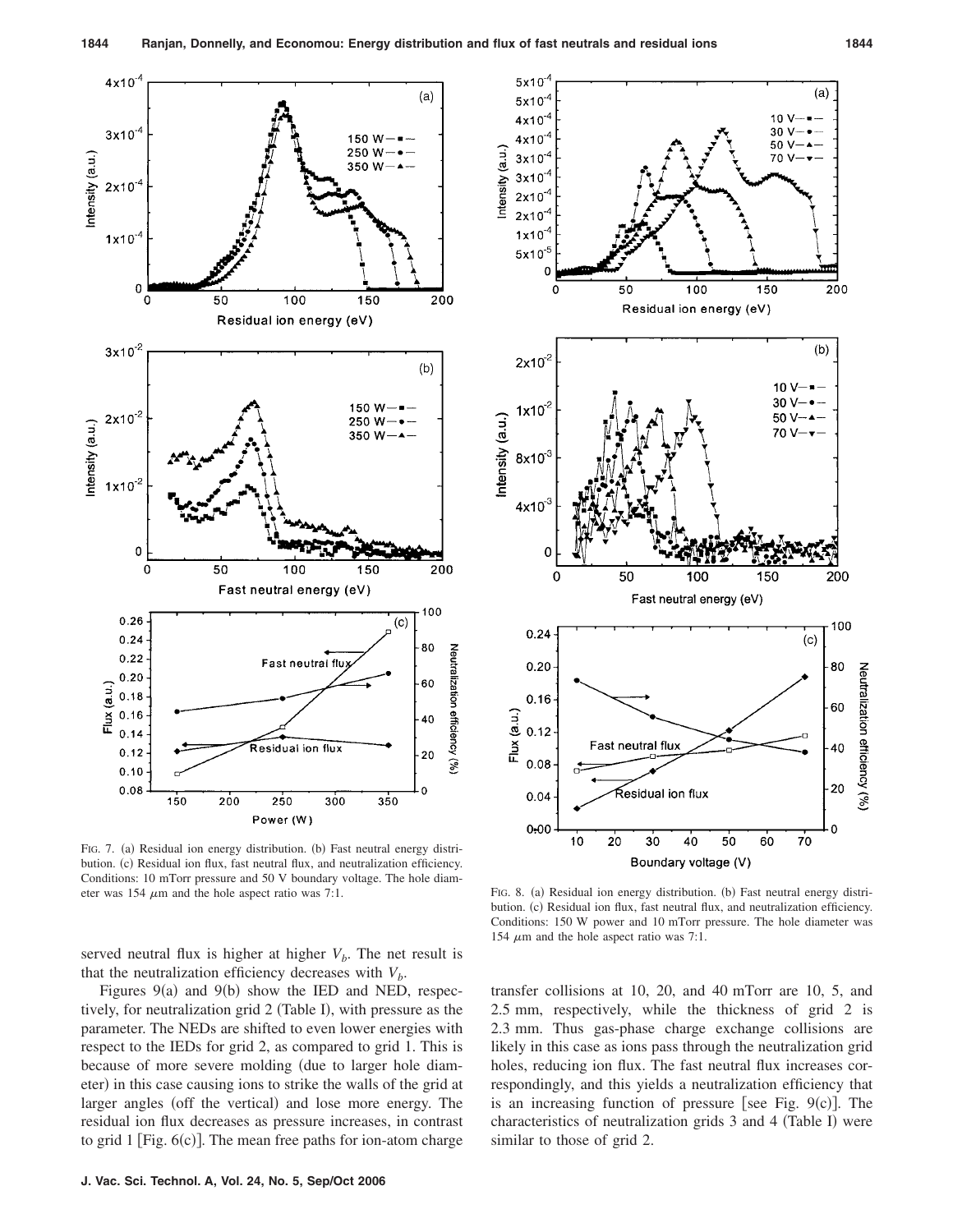

FIG. 7. (a) Residual ion energy distribution. (b) Fast neutral energy distribution. (c) Residual ion flux, fast neutral flux, and neutralization efficiency. Conditions: 10 mTorr pressure and 50 V boundary voltage. The hole diameter was 154  $\mu$ m and the hole aspect ratio was 7:1.

served neutral flux is higher at higher  $V_b$ . The net result is that the neutralization efficiency decreases with  $V<sub>b</sub>$ .

Figures  $9(a)$  and  $9(b)$  show the IED and NED, respectively, for neutralization grid 2 (Table I), with pressure as the parameter. The NEDs are shifted to even lower energies with respect to the IEDs for grid 2, as compared to grid 1. This is because of more severe molding (due to larger hole diameter) in this case causing ions to strike the walls of the grid at larger angles (off the vertical) and lose more energy. The residual ion flux decreases as pressure increases, in contrast to grid  $1$  [Fig.  $6(c)$ ]. The mean free paths for ion-atom charge



) Residual ion energy distribution. (b) Fast neutral energy distribution. (c) Residual ion flux, fast neutral flux, and neutralization efficiency. Conditions: 150 W power and 10 mTorr pressure. The hole diameter was 154  $\mu$ m and the hole aspect ratio was 7:1.

transfer collisions at 10, 20, and 40 mTorr are 10, 5, and 2.5 mm, respectively, while the thickness of grid 2 is 2.3 mm. Thus gas-phase charge exchange collisions are likely in this case as ions pass through the neutralization grid holes, reducing ion flux. The fast neutral flux increases correspondingly, and this yields a neutralization efficiency that is an increasing function of pressure [see Fig.  $9(c)$ ]. The characteristics of neutralization grids 3 and 4 (Table I) were similar to those of grid 2.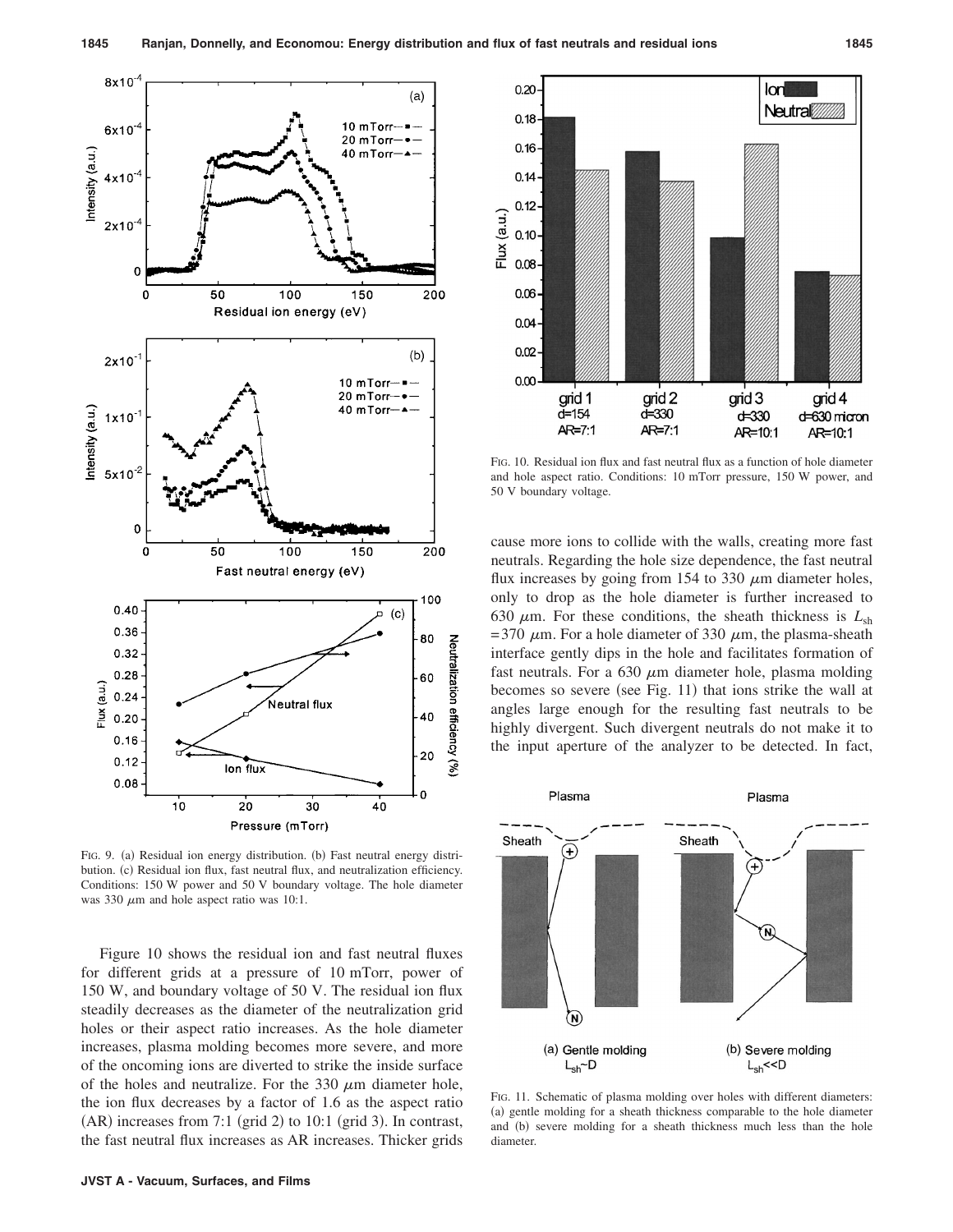

FIG. 9. (a) Residual ion energy distribution. (b) Fast neutral energy distribution. (c) Residual ion flux, fast neutral flux, and neutralization efficiency. Conditions: 150 W power and 50 V boundary voltage. The hole diameter was 330  $\mu$ m and hole aspect ratio was 10:1.

Figure 10 shows the residual ion and fast neutral fluxes for different grids at a pressure of 10 mTorr, power of 150 W, and boundary voltage of 50 V. The residual ion flux steadily decreases as the diameter of the neutralization grid holes or their aspect ratio increases. As the hole diameter increases, plasma molding becomes more severe, and more of the oncoming ions are diverted to strike the inside surface of the holes and neutralize. For the 330  $\mu$ m diameter hole, the ion flux decreases by a factor of 1.6 as the aspect ratio  $(AR)$  increases from 7:1 (grid 2) to 10:1 (grid 3). In contrast, the fast neutral flux increases as AR increases. Thicker grids



FIG. 10. Residual ion flux and fast neutral flux as a function of hole diameter and hole aspect ratio. Conditions: 10 mTorr pressure, 150 W power, and 50 V boundary voltage.

cause more ions to collide with the walls, creating more fast neutrals. Regarding the hole size dependence, the fast neutral flux increases by going from 154 to 330  $\mu$ m diameter holes, only to drop as the hole diameter is further increased to 630  $\mu$ m. For these conditions, the sheath thickness is  $L_{sh}$ = 370  $\mu$ m. For a hole diameter of 330  $\mu$ m, the plasma-sheath interface gently dips in the hole and facilitates formation of fast neutrals. For a 630  $\mu$ m diameter hole, plasma molding becomes so severe (see Fig. 11) that ions strike the wall at angles large enough for the resulting fast neutrals to be highly divergent. Such divergent neutrals do not make it to the input aperture of the analyzer to be detected. In fact,



FIG. 11. Schematic of plasma molding over holes with different diameters: (a) gentle molding for a sheath thickness comparable to the hole diameter and (b) severe molding for a sheath thickness much less than the hole diameter.